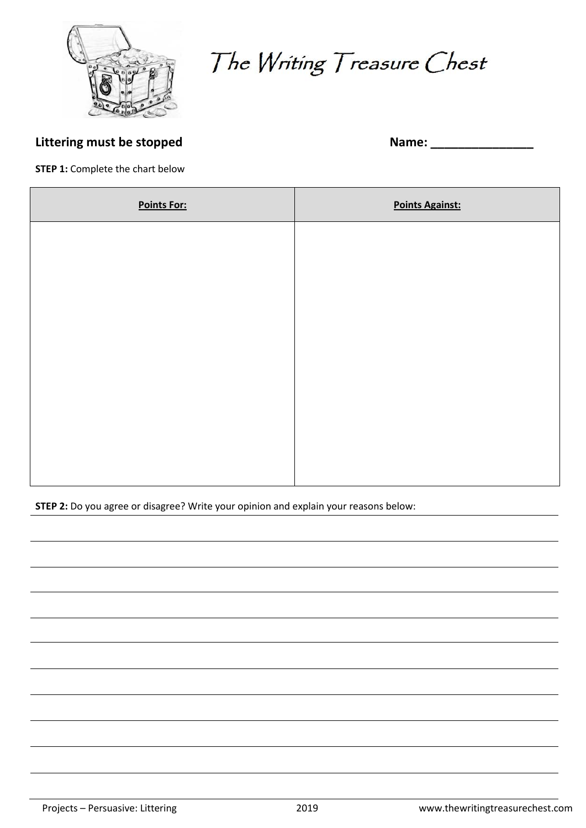

The Writing Treasure Chest

## **Littering must be stopped Name:** 2008. **Name:** 2008. **Name:** 2008. **Name:** 2008. **Name:** 2008. 2008. 2019. 2019. 2019. 2019. 2019. 2019. 2019. 2019. 2019. 2019. 2019. 2019. 2019. 2019. 2019. 2019. 2019. 2019. 2019. 2019

**STEP 1: Complete the chart below** 

| <b>Points For:</b> | <b>Points Against:</b> |
|--------------------|------------------------|
|                    |                        |
|                    |                        |
|                    |                        |
|                    |                        |
|                    |                        |
|                    |                        |
|                    |                        |
|                    |                        |

**STEP 2:** Do you agree or disagree? Write your opinion and explain your reasons below: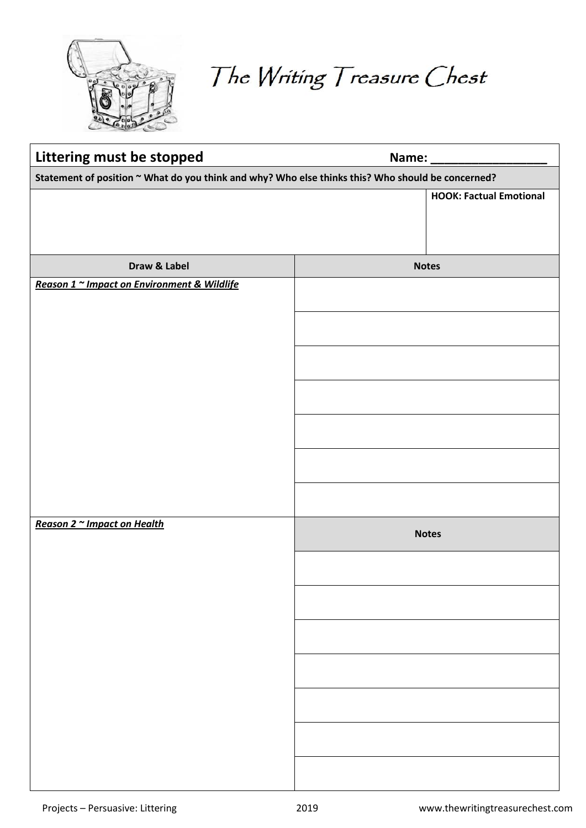

The Writing Treasure Chest

| Littering must be stopped                                                                         | Name: _________                |  |
|---------------------------------------------------------------------------------------------------|--------------------------------|--|
| Statement of position ~ What do you think and why? Who else thinks this? Who should be concerned? |                                |  |
|                                                                                                   | <b>HOOK: Factual Emotional</b> |  |
| Draw & Label                                                                                      | <b>Notes</b>                   |  |
| Reason 1 ~ Impact on Environment & Wildlife                                                       |                                |  |
| Reason 2 ~ Impact on Health                                                                       | <b>Notes</b>                   |  |
|                                                                                                   |                                |  |
|                                                                                                   |                                |  |
|                                                                                                   |                                |  |
|                                                                                                   |                                |  |
|                                                                                                   |                                |  |
|                                                                                                   |                                |  |
|                                                                                                   |                                |  |
|                                                                                                   |                                |  |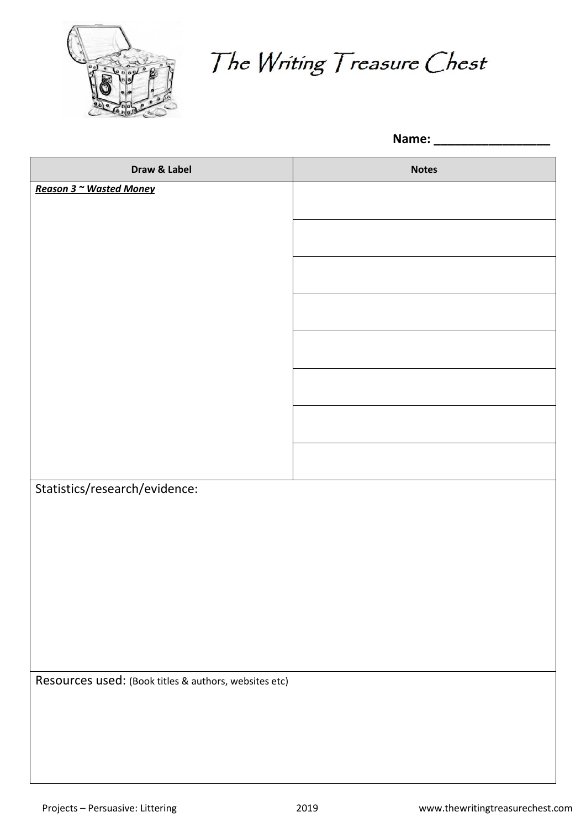

The Writing Treasure Chest

**Name: \_\_\_\_\_\_\_\_\_\_\_\_\_\_\_\_\_**

| Draw & Label                                          | <b>Notes</b> |
|-------------------------------------------------------|--------------|
| Reason 3 ~ Wasted Money                               |              |
|                                                       |              |
|                                                       |              |
|                                                       |              |
|                                                       |              |
|                                                       |              |
|                                                       |              |
|                                                       |              |
|                                                       |              |
|                                                       |              |
|                                                       |              |
|                                                       |              |
|                                                       |              |
| Statistics/research/evidence:                         |              |
|                                                       |              |
|                                                       |              |
|                                                       |              |
|                                                       |              |
|                                                       |              |
|                                                       |              |
|                                                       |              |
|                                                       |              |
| Resources used: (Book titles & authors, websites etc) |              |
|                                                       |              |
|                                                       |              |
|                                                       |              |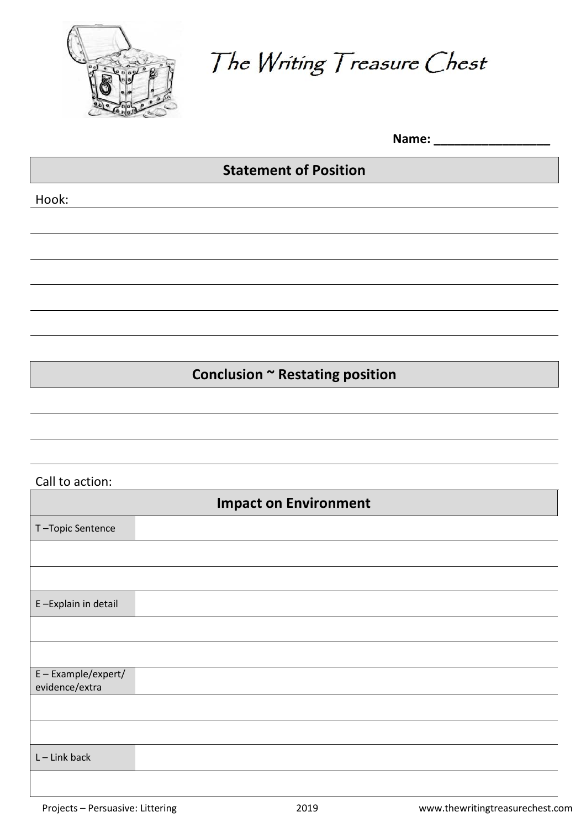

The Writing Treasure Chest

Name:

## **Statement of Position**

Hook:

**Conclusion ~ Restating position**

## Call to action:

| <b>Impact on Environment</b>        |  |
|-------------------------------------|--|
| T-Topic Sentence                    |  |
|                                     |  |
|                                     |  |
| E-Explain in detail                 |  |
|                                     |  |
|                                     |  |
| E-Example/expert/<br>evidence/extra |  |
|                                     |  |
|                                     |  |
| $L$ – Link back                     |  |
|                                     |  |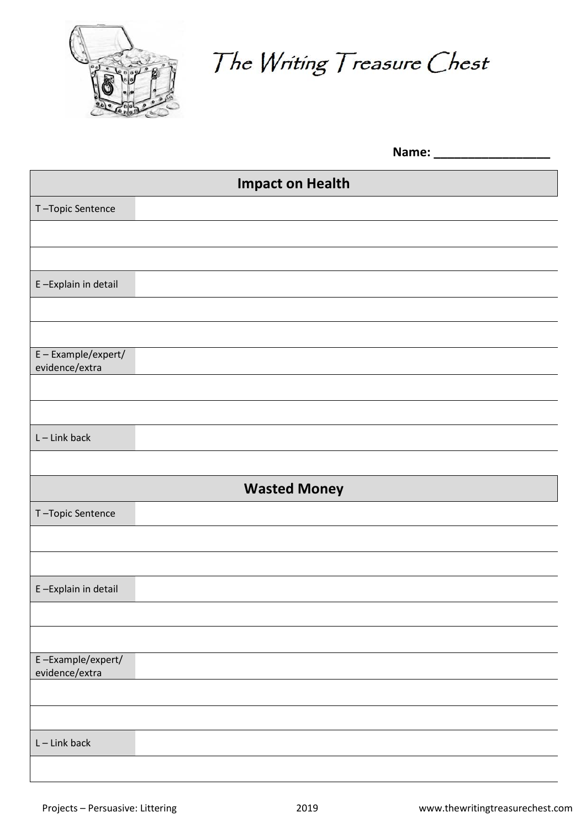

The Writing Treasure Chest

|                                     | Name: ___               |
|-------------------------------------|-------------------------|
|                                     | <b>Impact on Health</b> |
| T-Topic Sentence                    |                         |
|                                     |                         |
|                                     |                         |
| E-Explain in detail                 |                         |
|                                     |                         |
|                                     |                         |
| E-Example/expert/<br>evidence/extra |                         |
|                                     |                         |
|                                     |                         |
| $L$ – Link back                     |                         |
|                                     |                         |
|                                     | <b>Wasted Money</b>     |
| T-Topic Sentence                    |                         |
|                                     |                         |
|                                     |                         |
| E-Explain in detail                 |                         |
|                                     |                         |
|                                     |                         |
| E-Example/expert/<br>evidence/extra |                         |
|                                     |                         |
|                                     |                         |
| $L$ – Link back                     |                         |
|                                     |                         |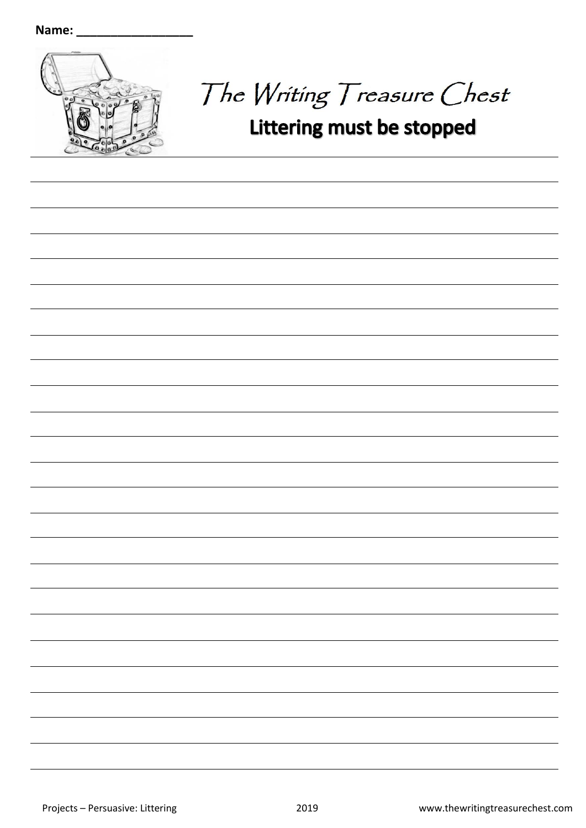

The Writing Treasure Chest

## Littering must be stopped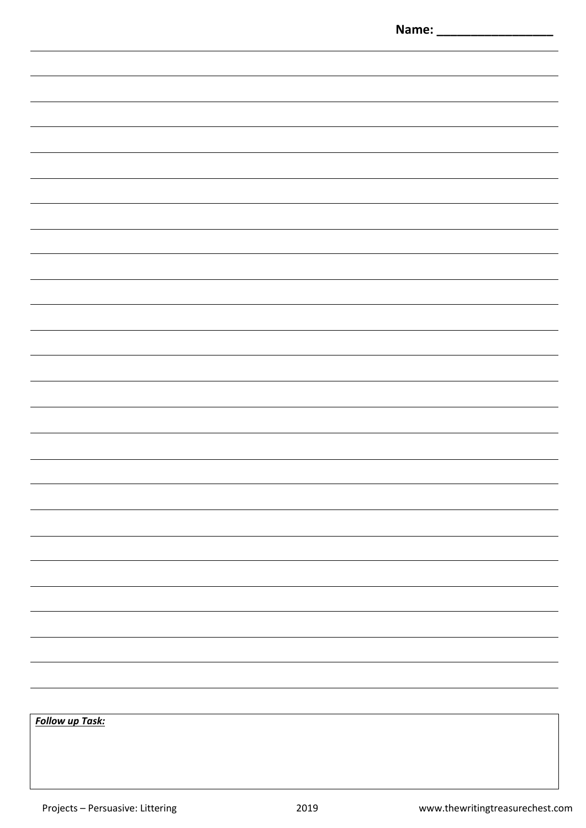|                        | Name: _ |
|------------------------|---------|
|                        |         |
|                        |         |
|                        |         |
|                        |         |
|                        |         |
|                        |         |
|                        |         |
|                        |         |
|                        |         |
|                        |         |
|                        |         |
|                        |         |
|                        |         |
|                        |         |
|                        |         |
|                        |         |
|                        |         |
|                        |         |
|                        |         |
|                        |         |
|                        |         |
|                        |         |
|                        |         |
|                        |         |
|                        |         |
|                        |         |
|                        |         |
|                        |         |
|                        |         |
|                        |         |
|                        |         |
|                        |         |
|                        |         |
|                        |         |
|                        |         |
|                        |         |
|                        |         |
|                        |         |
|                        |         |
|                        |         |
|                        |         |
|                        |         |
|                        |         |
|                        |         |
|                        |         |
|                        |         |
|                        |         |
|                        |         |
|                        |         |
|                        |         |
|                        |         |
|                        |         |
|                        |         |
|                        |         |
| <b>Follow up Task:</b> |         |
|                        |         |